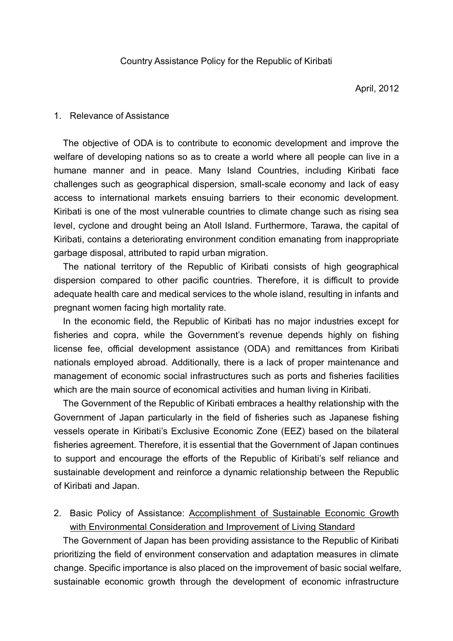### 1. Relevance of Assistance

The objective of ODA is to contribute to economic development and improve the welfare of developing nations so as to create a world where all people can live in a humane manner and in peace. Many Island Countries, including Kiribati face challenges such as geographical dispersion, small-scale economy and lack of easy access to international markets ensuing barriers to their economic development. Kiribati is one of the most vulnerable countries to climate change such as rising sea level, cyclone and drought being an Atoll Island. Furthermore, Tarawa, the capital of Kiribati, contains a deteriorating environment condition emanating from inappropriate garbage disposal, attributed to rapid urban migration.

The national territory of the Republic of Kiribati consists of high geographical dispersion compared to other pacific countries. Therefore, it is difficult to provide adequate health care and medical services to the whole island, resulting in infants and pregnant women facing high mortality rate.

In the economic field, the Republic of Kiribati has no major industries except for fisheries and copra, while the Government's revenue depends highly on fishing license fee, official development assistance (ODA) and remittances from Kiribati nationals employed abroad. Additionally, there is a lack of proper maintenance and management of economic social infrastructures such as ports and fisheries facilities which are the main source of economical activities and human living in Kiribati.

The Government of the Republic of Kiribati embraces a healthy relationship with the Government of Japan particularly in the field of fisheries such as Japanese fishing vessels operate in Kiribati's Exclusive Economic Zone (EEZ) based on the bilateral fisheries agreement. Therefore, it is essential that the Government of Japan continues to support and encourage the efforts of the Republic of Kiribati's self reliance and sustainable development and reinforce a dynamic relationship between the Republic of Kiribati and Japan.

2. Basic Policy of Assistance: Accomplishment of Sustainable Economic Growth with Environmental Consideration and Improvement of Living Standard

The Government of Japan has been providing assistance to the Republic of Kiribati prioritizing the field of environment conservation and adaptation measures in climate change. Specific importance is also placed on the improvement of basic social welfare, sustainable economic growth through the development of economic infrastructure